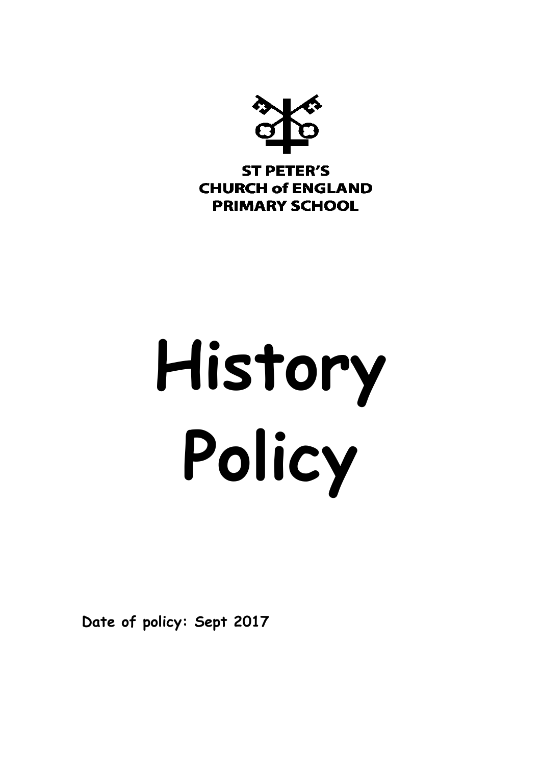

# **History Policy**

**Date of policy: Sept 2017**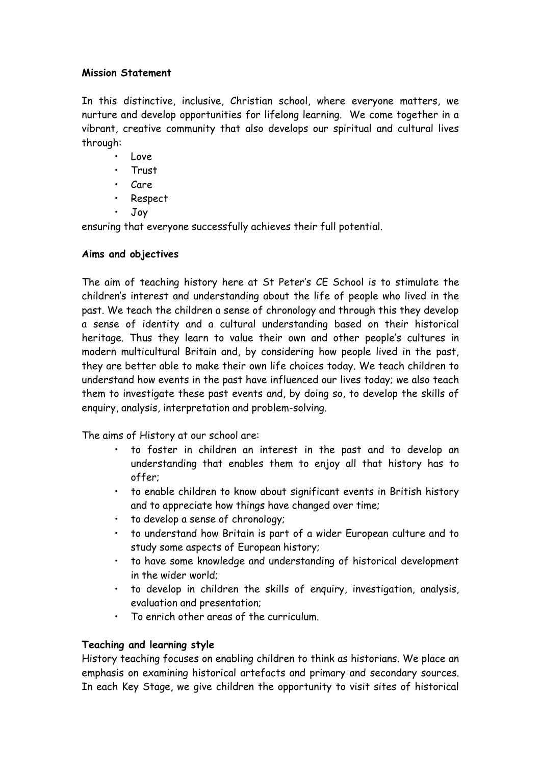# **Mission Statement**

In this distinctive, inclusive, Christian school, where everyone matters, we nurture and develop opportunities for lifelong learning. We come together in a vibrant, creative community that also develops our spiritual and cultural lives through:

- Love
- Trust
- Care
- Respect
- Joy

ensuring that everyone successfully achieves their full potential.

# **Aims and objectives**

The aim of teaching history here at St Peter's CE School is to stimulate the children's interest and understanding about the life of people who lived in the past. We teach the children a sense of chronology and through this they develop a sense of identity and a cultural understanding based on their historical heritage. Thus they learn to value their own and other people's cultures in modern multicultural Britain and, by considering how people lived in the past, they are better able to make their own life choices today. We teach children to understand how events in the past have influenced our lives today; we also teach them to investigate these past events and, by doing so, to develop the skills of enquiry, analysis, interpretation and problem-solving.

The aims of History at our school are:

- to foster in children an interest in the past and to develop an understanding that enables them to enjoy all that history has to offer;
- to enable children to know about significant events in British history and to appreciate how things have changed over time;
- to develop a sense of chronology;
- to understand how Britain is part of a wider European culture and to study some aspects of European history;
- to have some knowledge and understanding of historical development in the wider world;
- to develop in children the skills of enquiry, investigation, analysis, evaluation and presentation;
- To enrich other areas of the curriculum.

# **Teaching and learning style**

History teaching focuses on enabling children to think as historians. We place an emphasis on examining historical artefacts and primary and secondary sources. In each Key Stage, we give children the opportunity to visit sites of historical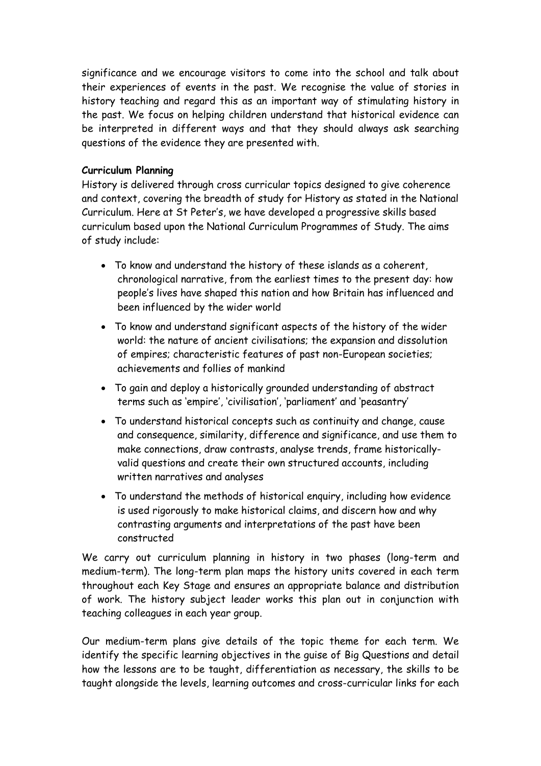significance and we encourage visitors to come into the school and talk about their experiences of events in the past. We recognise the value of stories in history teaching and regard this as an important way of stimulating history in the past. We focus on helping children understand that historical evidence can be interpreted in different ways and that they should always ask searching questions of the evidence they are presented with.

# **Curriculum Planning**

History is delivered through cross curricular topics designed to give coherence and context, covering the breadth of study for History as stated in the National Curriculum. Here at St Peter's, we have developed a progressive skills based curriculum based upon the National Curriculum Programmes of Study. The aims of study include:

- To know and understand the history of these islands as a coherent, chronological narrative, from the earliest times to the present day: how people's lives have shaped this nation and how Britain has influenced and been influenced by the wider world
- To know and understand significant aspects of the history of the wider world: the nature of ancient civilisations; the expansion and dissolution of empires; characteristic features of past non-European societies; achievements and follies of mankind
- To gain and deploy a historically grounded understanding of abstract terms such as 'empire', 'civilisation', 'parliament' and 'peasantry'
- To understand historical concepts such as continuity and change, cause and consequence, similarity, difference and significance, and use them to make connections, draw contrasts, analyse trends, frame historicallyvalid questions and create their own structured accounts, including written narratives and analyses
- To understand the methods of historical enquiry, including how evidence is used rigorously to make historical claims, and discern how and why contrasting arguments and interpretations of the past have been constructed

We carry out curriculum planning in history in two phases (long-term and medium-term). The long-term plan maps the history units covered in each term throughout each Key Stage and ensures an appropriate balance and distribution of work. The history subject leader works this plan out in conjunction with teaching colleagues in each year group.

Our medium-term plans give details of the topic theme for each term. We identify the specific learning objectives in the guise of Big Questions and detail how the lessons are to be taught, differentiation as necessary, the skills to be taught alongside the levels, learning outcomes and cross-curricular links for each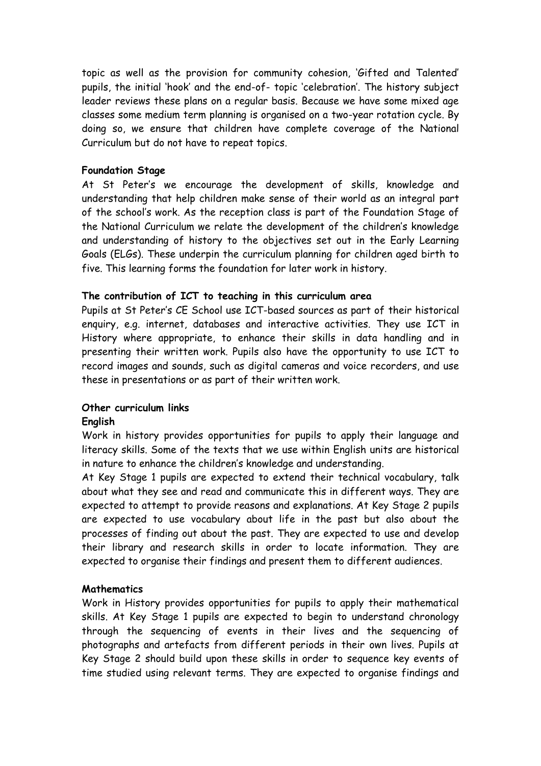topic as well as the provision for community cohesion, 'Gifted and Talented' pupils, the initial 'hook' and the end-of- topic 'celebration'. The history subject leader reviews these plans on a regular basis. Because we have some mixed age classes some medium term planning is organised on a two-year rotation cycle. By doing so, we ensure that children have complete coverage of the National Curriculum but do not have to repeat topics.

#### **Foundation Stage**

At St Peter's we encourage the development of skills, knowledge and understanding that help children make sense of their world as an integral part of the school's work. As the reception class is part of the Foundation Stage of the National Curriculum we relate the development of the children's knowledge and understanding of history to the objectives set out in the Early Learning Goals (ELGs). These underpin the curriculum planning for children aged birth to five. This learning forms the foundation for later work in history.

### **The contribution of ICT to teaching in this curriculum area**

Pupils at St Peter's CE School use ICT-based sources as part of their historical enquiry, e.g. internet, databases and interactive activities. They use ICT in History where appropriate, to enhance their skills in data handling and in presenting their written work. Pupils also have the opportunity to use ICT to record images and sounds, such as digital cameras and voice recorders, and use these in presentations or as part of their written work.

# **Other curriculum links**

# **English**

Work in history provides opportunities for pupils to apply their language and literacy skills. Some of the texts that we use within English units are historical in nature to enhance the children's knowledge and understanding.

At Key Stage 1 pupils are expected to extend their technical vocabulary, talk about what they see and read and communicate this in different ways. They are expected to attempt to provide reasons and explanations. At Key Stage 2 pupils are expected to use vocabulary about life in the past but also about the processes of finding out about the past. They are expected to use and develop their library and research skills in order to locate information. They are expected to organise their findings and present them to different audiences.

# **Mathematics**

Work in History provides opportunities for pupils to apply their mathematical skills. At Key Stage 1 pupils are expected to begin to understand chronology through the sequencing of events in their lives and the sequencing of photographs and artefacts from different periods in their own lives. Pupils at Key Stage 2 should build upon these skills in order to sequence key events of time studied using relevant terms. They are expected to organise findings and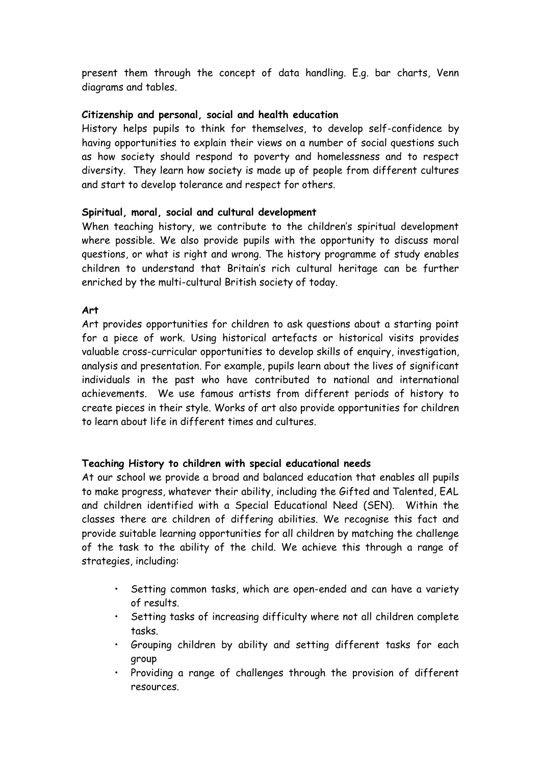present them through the concept of data handling. E.g. bar charts, Venn diagrams and tables.

### **Citizenship and personal, social and health education**

History helps pupils to think for themselves, to develop self-confidence by having opportunities to explain their views on a number of social questions such as how society should respond to poverty and homelessness and to respect diversity. They learn how society is made up of people from different cultures and start to develop tolerance and respect for others.

### **Spiritual, moral, social and cultural development**

When teaching history, we contribute to the children's spiritual development where possible. We also provide pupils with the opportunity to discuss moral questions, or what is right and wrong. The history programme of study enables children to understand that Britain's rich cultural heritage can be further enriched by the multi-cultural British society of today.

#### **Art**

Art provides opportunities for children to ask questions about a starting point for a piece of work. Using historical artefacts or historical visits provides valuable cross-curricular opportunities to develop skills of enquiry, investigation, analysis and presentation. For example, pupils learn about the lives of significant individuals in the past who have contributed to national and international achievements. We use famous artists from different periods of history to create pieces in their style. Works of art also provide opportunities for children to learn about life in different times and cultures.

# **Teaching History to children with special educational needs**

At our school we provide a broad and balanced education that enables all pupils to make progress, whatever their ability, including the Gifted and Talented, EAL and children identified with a Special Educational Need (SEN). Within the classes there are children of differing abilities. We recognise this fact and provide suitable learning opportunities for all children by matching the challenge of the task to the ability of the child. We achieve this through a range of strategies, including:

- Setting common tasks, which are open-ended and can have a variety of results.
- Setting tasks of increasing difficulty where not all children complete tasks.
- Grouping children by ability and setting different tasks for each group
- Providing a range of challenges through the provision of different resources.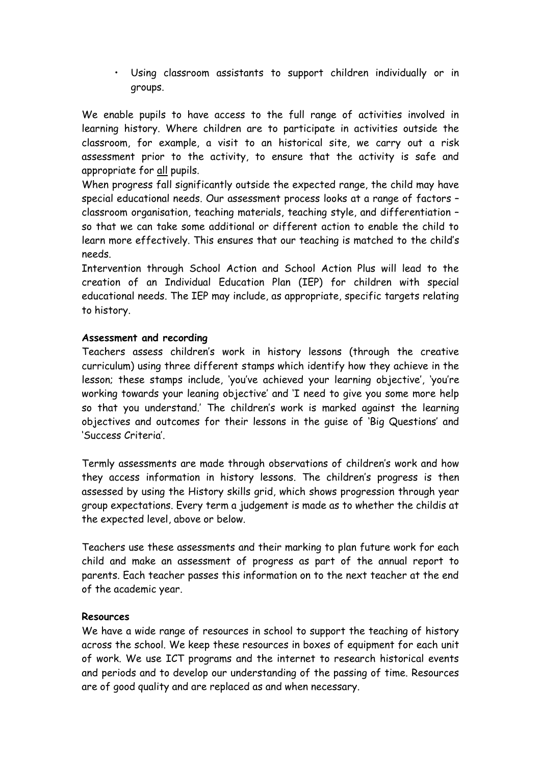• Using classroom assistants to support children individually or in groups.

We enable pupils to have access to the full range of activities involved in learning history. Where children are to participate in activities outside the classroom, for example, a visit to an historical site, we carry out a risk assessment prior to the activity, to ensure that the activity is safe and appropriate for all pupils.

When progress fall significantly outside the expected range, the child may have special educational needs. Our assessment process looks at a range of factors – classroom organisation, teaching materials, teaching style, and differentiation – so that we can take some additional or different action to enable the child to learn more effectively. This ensures that our teaching is matched to the child's needs.

Intervention through School Action and School Action Plus will lead to the creation of an Individual Education Plan (IEP) for children with special educational needs. The IEP may include, as appropriate, specific targets relating to history.

### **Assessment and recording**

Teachers assess children's work in history lessons (through the creative curriculum) using three different stamps which identify how they achieve in the lesson; these stamps include, 'you've achieved your learning objective', 'you're working towards your leaning objective' and 'I need to give you some more help so that you understand.' The children's work is marked against the learning objectives and outcomes for their lessons in the guise of 'Big Questions' and 'Success Criteria'.

Termly assessments are made through observations of children's work and how they access information in history lessons. The children's progress is then assessed by using the History skills grid, which shows progression through year group expectations. Every term a judgement is made as to whether the childis at the expected level, above or below.

Teachers use these assessments and their marking to plan future work for each child and make an assessment of progress as part of the annual report to parents. Each teacher passes this information on to the next teacher at the end of the academic year.

#### **Resources**

We have a wide range of resources in school to support the teaching of history across the school. We keep these resources in boxes of equipment for each unit of work. We use ICT programs and the internet to research historical events and periods and to develop our understanding of the passing of time. Resources are of good quality and are replaced as and when necessary.